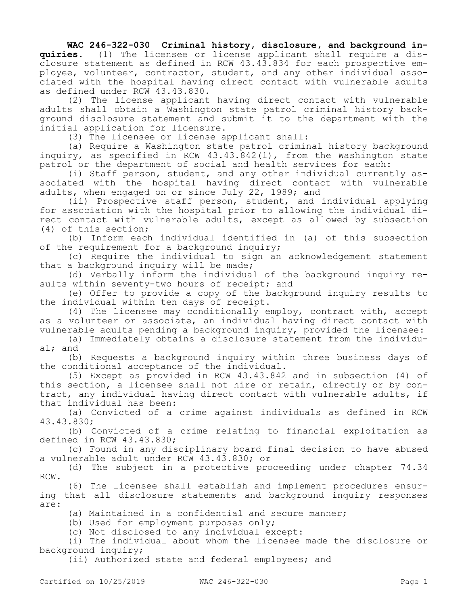## **WAC 246-322-030 Criminal history, disclosure, and background in-**

**quiries.** (1) The licensee or license applicant shall require a disclosure statement as defined in RCW 43.43.834 for each prospective employee, volunteer, contractor, student, and any other individual associated with the hospital having direct contact with vulnerable adults as defined under RCW 43.43.830.

(2) The license applicant having direct contact with vulnerable adults shall obtain a Washington state patrol criminal history background disclosure statement and submit it to the department with the initial application for licensure.

(3) The licensee or license applicant shall:

(a) Require a Washington state patrol criminal history background inquiry, as specified in RCW 43.43.842(1), from the Washington state patrol or the department of social and health services for each:

(i) Staff person, student, and any other individual currently associated with the hospital having direct contact with vulnerable adults, when engaged on or since July 22, 1989; and

(ii) Prospective staff person, student, and individual applying for association with the hospital prior to allowing the individual direct contact with vulnerable adults, except as allowed by subsection (4) of this section;

(b) Inform each individual identified in (a) of this subsection of the requirement for a background inquiry;

(c) Require the individual to sign an acknowledgement statement that a background inquiry will be made;

(d) Verbally inform the individual of the background inquiry results within seventy-two hours of receipt; and

(e) Offer to provide a copy of the background inquiry results to the individual within ten days of receipt.

(4) The licensee may conditionally employ, contract with, accept as a volunteer or associate, an individual having direct contact with vulnerable adults pending a background inquiry, provided the licensee:

(a) Immediately obtains a disclosure statement from the individual; and

(b) Requests a background inquiry within three business days of the conditional acceptance of the individual.

(5) Except as provided in RCW 43.43.842 and in subsection (4) of this section, a licensee shall not hire or retain, directly or by contract, any individual having direct contact with vulnerable adults, if that individual has been:

(a) Convicted of a crime against individuals as defined in RCW 43.43.830;

(b) Convicted of a crime relating to financial exploitation as defined in RCW 43.43.830;

(c) Found in any disciplinary board final decision to have abused a vulnerable adult under RCW 43.43.830; or

(d) The subject in a protective proceeding under chapter 74.34 RCW.

(6) The licensee shall establish and implement procedures ensuring that all disclosure statements and background inquiry responses are:

(a) Maintained in a confidential and secure manner;

(b) Used for employment purposes only;

(c) Not disclosed to any individual except:

(i) The individual about whom the licensee made the disclosure or background inquiry;

(ii) Authorized state and federal employees; and